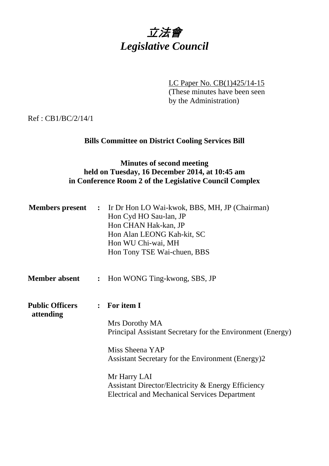

LC Paper No. CB(1)425/14-15 (These minutes have been seen by the Administration)

Ref : CB1/BC/2/14/1

## **Bills Committee on District Cooling Services Bill**

## **Minutes of second meeting held on Tuesday, 16 December 2014, at 10:45 am in Conference Room 2 of the Legislative Council Complex**

|                                     |                | <b>Members present :</b> Ir Dr Hon LO Wai-kwok, BBS, MH, JP (Chairman)<br>Hon Cyd HO Sau-lan, JP<br>Hon CHAN Hak-kan, JP<br>Hon Alan LEONG Kah-kit, SC<br>Hon WU Chi-wai, MH<br>Hon Tony TSE Wai-chuen, BBS |
|-------------------------------------|----------------|-------------------------------------------------------------------------------------------------------------------------------------------------------------------------------------------------------------|
| <b>Member absent</b>                | $\ddot{\cdot}$ | Hon WONG Ting-kwong, SBS, JP                                                                                                                                                                                |
| <b>Public Officers</b><br>attending | $\ddot{\cdot}$ | For item I                                                                                                                                                                                                  |
|                                     |                | Mrs Dorothy MA<br>Principal Assistant Secretary for the Environment (Energy)                                                                                                                                |
|                                     |                | Miss Sheena YAP<br>Assistant Secretary for the Environment (Energy)2                                                                                                                                        |
|                                     |                | Mr Harry LAI<br>Assistant Director/Electricity & Energy Efficiency<br><b>Electrical and Mechanical Services Department</b>                                                                                  |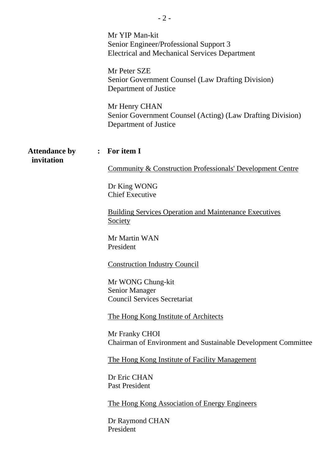|                                    | Mr YIP Man-kit<br>Senior Engineer/Professional Support 3<br><b>Electrical and Mechanical Services Department</b><br>Mr Peter SZE<br>Senior Government Counsel (Law Drafting Division) |
|------------------------------------|---------------------------------------------------------------------------------------------------------------------------------------------------------------------------------------|
|                                    | Department of Justice<br>Mr Henry CHAN<br>Senior Government Counsel (Acting) (Law Drafting Division)<br>Department of Justice                                                         |
| <b>Attendance by</b><br>invitation | For item I<br>$\ddot{\cdot}$                                                                                                                                                          |
|                                    | <b>Community &amp; Construction Professionals' Development Centre</b>                                                                                                                 |
|                                    | Dr King WONG<br><b>Chief Executive</b>                                                                                                                                                |
|                                    | <b>Building Services Operation and Maintenance Executives</b><br>Society                                                                                                              |
|                                    | Mr Martin WAN<br>President                                                                                                                                                            |
|                                    | <b>Construction Industry Council</b>                                                                                                                                                  |
|                                    | Mr WONG Chung-kit<br><b>Senior Manager</b><br><b>Council Services Secretariat</b>                                                                                                     |
|                                    | The Hong Kong Institute of Architects                                                                                                                                                 |
|                                    | Mr Franky CHOI<br>Chairman of Environment and Sustainable Development Committee                                                                                                       |
|                                    | The Hong Kong Institute of Facility Management                                                                                                                                        |
|                                    | Dr Eric CHAN<br><b>Past President</b>                                                                                                                                                 |
|                                    | <u>The Hong Kong Association of Energy Engineers</u>                                                                                                                                  |
|                                    | Dr Raymond CHAN<br>President                                                                                                                                                          |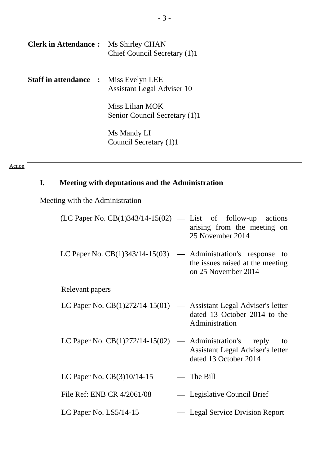| <b>Clerk in Attendance:</b>                  | Ms Shirley CHAN<br>Chief Council Secretary (1)1  |
|----------------------------------------------|--------------------------------------------------|
| <b>Staff in attendance : Miss Evelyn LEE</b> | Assistant Legal Adviser 10                       |
|                                              | Miss Lilian MOK<br>Senior Council Secretary (1)1 |
|                                              | Ms Mandy LI<br>Council Secretary (1)1            |

Action

# **I. Meeting with deputations and the Administration**

# Meeting with the Administration

| $(LC$ Paper No. $CB(1)343/14-15(02)$ — List of follow-up actions | arising from the meeting on<br>25 November 2014                                                                        |
|------------------------------------------------------------------|------------------------------------------------------------------------------------------------------------------------|
| LC Paper No. $CB(1)343/14-15(03)$                                | — Administration's response to<br>the issues raised at the meeting<br>on 25 November 2014                              |
| <u>Relevant papers</u>                                           |                                                                                                                        |
|                                                                  | LC Paper No. $CB(1)272/14-15(01)$ — Assistant Legal Adviser's letter<br>dated 13 October 2014 to the<br>Administration |
| LC Paper No. $CB(1)272/14-15(02)$                                | — Administration's reply<br>to<br><b>Assistant Legal Adviser's letter</b><br>dated 13 October 2014                     |
| LC Paper No. $CB(3)10/14-15$                                     | The Bill                                                                                                               |
| File Ref: ENB CR 4/2061/08                                       | — Legislative Council Brief                                                                                            |
| LC Paper No. $LS5/14-15$                                         | — Legal Service Division Report                                                                                        |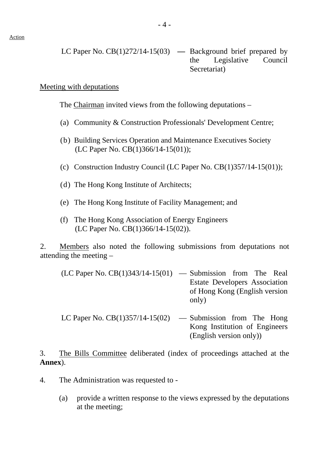#### Meeting with deputations

The Chairman invited views from the following deputations –

- (a) Community & Construction Professionals' Development Centre;
- (b) Building Services Operation and Maintenance Executives Society (LC Paper No. CB(1)366/14-15(01));
- (c) Construction Industry Council (LC Paper No.  $CB(1)357/14-15(01)$ );
- (d) The Hong Kong Institute of Architects;
- (e) The Hong Kong Institute of Facility Management; and
- (f) The Hong Kong Association of Energy Engineers (LC Paper No. CB(1)366/14-15(02)).

2. Members also noted the following submissions from deputations not attending the meeting –

| $(LC$ Paper No. $CB(1)343/14-15(01)$ — Submission from The Real |                                      |
|-----------------------------------------------------------------|--------------------------------------|
|                                                                 | <b>Estate Developers Association</b> |
|                                                                 | of Hong Kong (English version        |
|                                                                 | only)                                |
|                                                                 |                                      |

LC Paper No.  $CB(1)357/14-15(02)$  — Submission from The Hong Kong Institution of Engineers (English version only))

3. The Bills Committee deliberated (index of proceedings attached at the **Annex**).

- 4. The Administration was requested to
	- (a) provide a written response to the views expressed by the deputations at the meeting;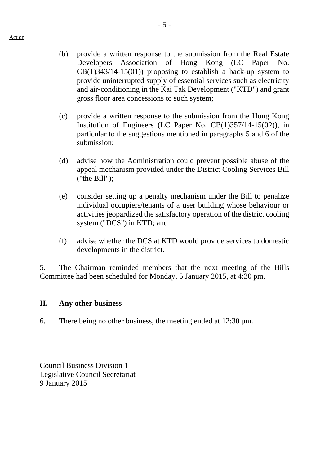- (b) provide a written response to the submission from the Real Estate Developers Association of Hong Kong (LC Paper No.  $CB(1)343/14-15(01)$  proposing to establish a back-up system to provide uninterrupted supply of essential services such as electricity and air-conditioning in the Kai Tak Development ("KTD") and grant gross floor area concessions to such system;
- (c) provide a written response to the submission from the Hong Kong Institution of Engineers (LC Paper No. CB(1)357/14-15(02)), in particular to the suggestions mentioned in paragraphs 5 and 6 of the submission;
- (d) advise how the Administration could prevent possible abuse of the appeal mechanism provided under the District Cooling Services Bill ("the Bill");
- (e) consider setting up a penalty mechanism under the Bill to penalize individual occupiers/tenants of a user building whose behaviour or activities jeopardized the satisfactory operation of the district cooling system ("DCS") in KTD; and
- (f) advise whether the DCS at KTD would provide services to domestic developments in the district.

5. The Chairman reminded members that the next meeting of the Bills Committee had been scheduled for Monday, 5 January 2015, at 4:30 pm.

### **II. Any other business**

6. There being no other business, the meeting ended at 12:30 pm.

Council Business Division 1 Legislative Council Secretariat 9 January 2015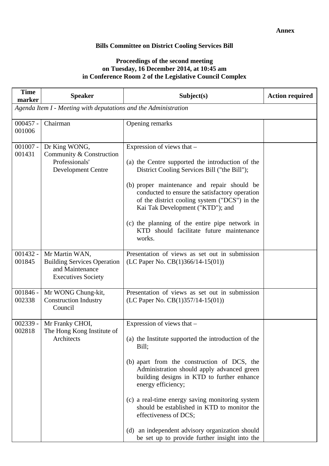### **Bills Committee on District Cooling Services Bill**

#### **Proceedings of the second meeting on Tuesday, 16 December 2014, at 10:45 am in Conference Room 2 of the Legislative Council Complex**

| <b>Time</b><br>marker                                           | <b>Speaker</b>                                                                                       | Subject(s)                                                                                                                                                                                                                                                                                                                                                                                                                                                                                 | <b>Action required</b> |
|-----------------------------------------------------------------|------------------------------------------------------------------------------------------------------|--------------------------------------------------------------------------------------------------------------------------------------------------------------------------------------------------------------------------------------------------------------------------------------------------------------------------------------------------------------------------------------------------------------------------------------------------------------------------------------------|------------------------|
| Agenda Item I - Meeting with deputations and the Administration |                                                                                                      |                                                                                                                                                                                                                                                                                                                                                                                                                                                                                            |                        |
| $000457 -$<br>001006                                            | Chairman                                                                                             | Opening remarks                                                                                                                                                                                                                                                                                                                                                                                                                                                                            |                        |
| $001007 -$<br>001431                                            | Dr King WONG,<br>Community & Construction<br>Professionals'<br><b>Development Centre</b>             | Expression of views that -<br>(a) the Centre supported the introduction of the<br>District Cooling Services Bill ("the Bill");<br>(b) proper maintenance and repair should be<br>conducted to ensure the satisfactory operation<br>of the district cooling system ("DCS") in the<br>Kai Tak Development ("KTD"); and<br>(c) the planning of the entire pipe network in<br>KTD should facilitate future maintenance<br>works.                                                               |                        |
| $001432 -$<br>001845                                            | Mr Martin WAN,<br><b>Building Services Operation</b><br>and Maintenance<br><b>Executives Society</b> | Presentation of views as set out in submission<br>(LC Paper No. $CB(1)366/14-15(01)$ )                                                                                                                                                                                                                                                                                                                                                                                                     |                        |
| $001846 -$<br>002338                                            | Mr WONG Chung-kit,<br><b>Construction Industry</b><br>Council                                        | Presentation of views as set out in submission<br>(LC Paper No. $CB(1)357/14-15(01)$ )                                                                                                                                                                                                                                                                                                                                                                                                     |                        |
| $002339 -$<br>002818                                            | Mr Franky CHOI,<br>The Hong Kong Institute of<br>Architects                                          | Expression of views that -<br>(a) the Institute supported the introduction of the<br>Bill;<br>(b) apart from the construction of DCS, the<br>Administration should apply advanced green<br>building designs in KTD to further enhance<br>energy efficiency;<br>(c) a real-time energy saving monitoring system<br>should be established in KTD to monitor the<br>effectiveness of DCS;<br>(d) an independent advisory organization should<br>be set up to provide further insight into the |                        |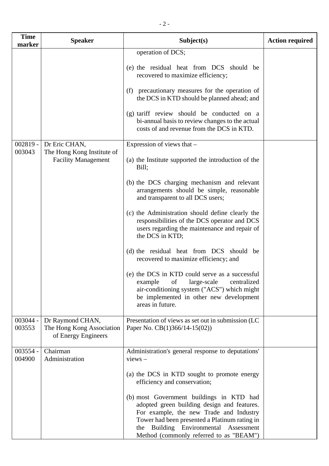| <b>Time</b><br>marker | <b>Speaker</b>                                                       | Subject(s)                                                                                                                                                                                                                                                                 | <b>Action required</b> |
|-----------------------|----------------------------------------------------------------------|----------------------------------------------------------------------------------------------------------------------------------------------------------------------------------------------------------------------------------------------------------------------------|------------------------|
|                       |                                                                      | operation of DCS;                                                                                                                                                                                                                                                          |                        |
|                       |                                                                      | (e) the residual heat from DCS should be<br>recovered to maximize efficiency;                                                                                                                                                                                              |                        |
|                       |                                                                      | (f) precautionary measures for the operation of<br>the DCS in KTD should be planned ahead; and                                                                                                                                                                             |                        |
|                       |                                                                      | (g) tariff review should be conducted on a<br>bi-annual basis to review changes to the actual<br>costs of and revenue from the DCS in KTD.                                                                                                                                 |                        |
| $002819 -$            | Dr Eric CHAN,                                                        | Expression of views that –                                                                                                                                                                                                                                                 |                        |
| 003043                | The Hong Kong Institute of<br><b>Facility Management</b>             | (a) the Institute supported the introduction of the<br>Bill;                                                                                                                                                                                                               |                        |
|                       |                                                                      | (b) the DCS charging mechanism and relevant<br>arrangements should be simple, reasonable<br>and transparent to all DCS users;                                                                                                                                              |                        |
|                       |                                                                      | (c) the Administration should define clearly the<br>responsibilities of the DCS operator and DCS<br>users regarding the maintenance and repair of<br>the DCS in KTD;                                                                                                       |                        |
|                       |                                                                      | (d) the residual heat from DCS should be<br>recovered to maximize efficiency; and                                                                                                                                                                                          |                        |
|                       |                                                                      | (e) the DCS in KTD could serve as a successful<br>example<br>of<br>large-scale<br>centralized<br>air-conditioning system ("ACS") which might<br>be implemented in other new development<br>areas in future.                                                                |                        |
| 003044 -<br>003553    | Dr Raymond CHAN,<br>The Hong Kong Association<br>of Energy Engineers | Presentation of views as set out in submission (LC<br>Paper No. $CB(1)366/14-15(02)$                                                                                                                                                                                       |                        |
| 003554 -              | Chairman                                                             | Administration's general response to deputations'                                                                                                                                                                                                                          |                        |
| 004900                | Administration                                                       | $views -$                                                                                                                                                                                                                                                                  |                        |
|                       |                                                                      | (a) the DCS in KTD sought to promote energy<br>efficiency and conservation;                                                                                                                                                                                                |                        |
|                       |                                                                      | (b) most Government buildings in KTD had<br>adopted green building design and features.<br>For example, the new Trade and Industry<br>Tower had been presented a Platinum rating in<br>Building Environmental Assessment<br>the<br>Method (commonly referred to as "BEAM") |                        |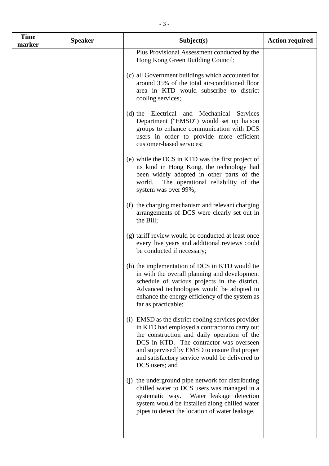| <b>Time</b> | <b>Speaker</b> | Subject(s)                                                                                                                                                                                                                                                                                                        | <b>Action required</b> |
|-------------|----------------|-------------------------------------------------------------------------------------------------------------------------------------------------------------------------------------------------------------------------------------------------------------------------------------------------------------------|------------------------|
| marker      |                | Plus Provisional Assessment conducted by the<br>Hong Kong Green Building Council;                                                                                                                                                                                                                                 |                        |
|             |                | (c) all Government buildings which accounted for<br>around 35% of the total air-conditioned floor<br>area in KTD would subscribe to district<br>cooling services;                                                                                                                                                 |                        |
|             |                | (d) the Electrical and Mechanical<br>Services<br>Department ("EMSD") would set up liaison<br>groups to enhance communication with DCS<br>users in order to provide more efficient<br>customer-based services;                                                                                                     |                        |
|             |                | (e) while the DCS in KTD was the first project of<br>its kind in Hong Kong, the technology had<br>been widely adopted in other parts of the<br>world.<br>The operational reliability of the<br>system was over 99%;                                                                                               |                        |
|             |                | (f) the charging mechanism and relevant charging<br>arrangements of DCS were clearly set out in<br>the Bill;                                                                                                                                                                                                      |                        |
|             |                | (g) tariff review would be conducted at least once<br>every five years and additional reviews could<br>be conducted if necessary;                                                                                                                                                                                 |                        |
|             |                | (h) the implementation of DCS in KTD would tie<br>in with the overall planning and development<br>schedule of various projects in the district.<br>Advanced technologies would be adopted to<br>enhance the energy efficiency of the system as<br>far as practicable;                                             |                        |
|             |                | (i) EMSD as the district cooling services provider<br>in KTD had employed a contractor to carry out<br>the construction and daily operation of the<br>DCS in KTD. The contractor was overseen<br>and supervised by EMSD to ensure that proper<br>and satisfactory service would be delivered to<br>DCS users; and |                        |
|             |                | (i) the underground pipe network for distributing<br>chilled water to DCS users was managed in a<br>systematic way. Water leakage detection<br>system would be installed along chilled water<br>pipes to detect the location of water leakage.                                                                    |                        |
|             |                |                                                                                                                                                                                                                                                                                                                   |                        |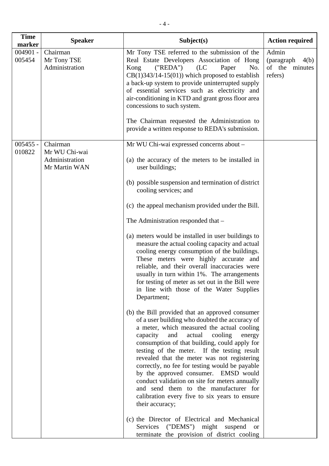| <b>Time</b><br>marker | <b>Speaker</b>                                   | Subject(s)                                                                                                                                                                                                                                                                                                                                                                                                                                                                                                                                                                                                | <b>Action required</b>                                       |
|-----------------------|--------------------------------------------------|-----------------------------------------------------------------------------------------------------------------------------------------------------------------------------------------------------------------------------------------------------------------------------------------------------------------------------------------------------------------------------------------------------------------------------------------------------------------------------------------------------------------------------------------------------------------------------------------------------------|--------------------------------------------------------------|
| $004901 -$<br>005454  | Chairman<br>Mr Tony TSE<br>Administration        | Mr Tony TSE referred to the submission of the<br>Real Estate Developers Association of Hong<br>("REDA")<br>Kong<br>(LC)<br>Paper<br>No.<br>$CB(1)343/14-15(01))$ which proposed to establish<br>a back-up system to provide uninterrupted supply<br>of essential services such as electricity and<br>air-conditioning in KTD and grant gross floor area<br>concessions to such system.                                                                                                                                                                                                                    | Admin<br>(paragraph)<br>4(b)<br>of the<br>minutes<br>refers) |
|                       |                                                  | The Chairman requested the Administration to<br>provide a written response to REDA's submission.                                                                                                                                                                                                                                                                                                                                                                                                                                                                                                          |                                                              |
| $005455 -$            | Chairman                                         | Mr WU Chi-wai expressed concerns about -                                                                                                                                                                                                                                                                                                                                                                                                                                                                                                                                                                  |                                                              |
| 010822                | Mr WU Chi-wai<br>Administration<br>Mr Martin WAN | (a) the accuracy of the meters to be installed in<br>user buildings;                                                                                                                                                                                                                                                                                                                                                                                                                                                                                                                                      |                                                              |
|                       |                                                  | (b) possible suspension and termination of district<br>cooling services; and                                                                                                                                                                                                                                                                                                                                                                                                                                                                                                                              |                                                              |
|                       |                                                  | (c) the appeal mechanism provided under the Bill.                                                                                                                                                                                                                                                                                                                                                                                                                                                                                                                                                         |                                                              |
|                       |                                                  | The Administration responded that –                                                                                                                                                                                                                                                                                                                                                                                                                                                                                                                                                                       |                                                              |
|                       |                                                  | (a) meters would be installed in user buildings to<br>measure the actual cooling capacity and actual<br>cooling energy consumption of the buildings.<br>These meters were highly accurate and<br>reliable, and their overall inaccuracies were<br>usually in turn within 1%. The arrangements<br>for testing of meter as set out in the Bill were<br>in line with those of the Water Supplies<br>Department;                                                                                                                                                                                              |                                                              |
|                       |                                                  | (b) the Bill provided that an approved consumer<br>of a user building who doubted the accuracy of<br>a meter, which measured the actual cooling<br>capacity<br>and<br>actual<br>cooling<br>energy<br>consumption of that building, could apply for<br>testing of the meter. If the testing result<br>revealed that the meter was not registering<br>correctly, no fee for testing would be payable<br>by the approved consumer. EMSD would<br>conduct validation on site for meters annually<br>and send them to the manufacturer for<br>calibration every five to six years to ensure<br>their accuracy; |                                                              |
|                       |                                                  | (c) the Director of Electrical and Mechanical<br>Services ("DEMS") might suspend<br>or<br>terminate the provision of district cooling                                                                                                                                                                                                                                                                                                                                                                                                                                                                     |                                                              |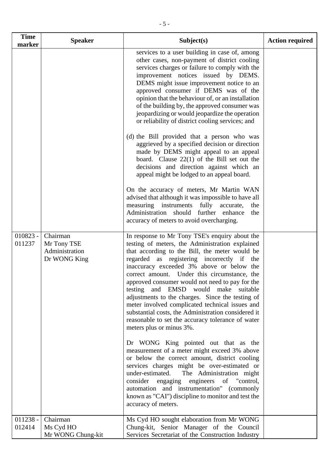| <b>Time</b><br>marker | <b>Speaker</b>                                            | Subject(s)                                                                                                                                                                                                                                                                                                                                                                                                                                                                                                                                                                                                                                                                                                                                                                                                                                                                                                                                                                   | <b>Action required</b> |
|-----------------------|-----------------------------------------------------------|------------------------------------------------------------------------------------------------------------------------------------------------------------------------------------------------------------------------------------------------------------------------------------------------------------------------------------------------------------------------------------------------------------------------------------------------------------------------------------------------------------------------------------------------------------------------------------------------------------------------------------------------------------------------------------------------------------------------------------------------------------------------------------------------------------------------------------------------------------------------------------------------------------------------------------------------------------------------------|------------------------|
|                       |                                                           | services to a user building in case of, among<br>other cases, non-payment of district cooling<br>services charges or failure to comply with the<br>improvement notices issued by DEMS.<br>DEMS might issue improvement notice to an<br>approved consumer if DEMS was of the<br>opinion that the behaviour of, or an installation<br>of the building by, the approved consumer was<br>jeopardizing or would jeopardize the operation<br>or reliability of district cooling services; and                                                                                                                                                                                                                                                                                                                                                                                                                                                                                      |                        |
|                       |                                                           | (d) the Bill provided that a person who was<br>aggrieved by a specified decision or direction<br>made by DEMS might appeal to an appeal<br>board. Clause $22(1)$ of the Bill set out the<br>decisions and direction against which an<br>appeal might be lodged to an appeal board.                                                                                                                                                                                                                                                                                                                                                                                                                                                                                                                                                                                                                                                                                           |                        |
|                       |                                                           | On the accuracy of meters, Mr Martin WAN<br>advised that although it was impossible to have all<br>measuring instruments<br>fully<br>accurate,<br>the<br>Administration<br>should<br>further<br>enhance<br>the<br>accuracy of meters to avoid overcharging.                                                                                                                                                                                                                                                                                                                                                                                                                                                                                                                                                                                                                                                                                                                  |                        |
| $010823 -$<br>011237  | Chairman<br>Mr Tony TSE<br>Administration<br>Dr WONG King | In response to Mr Tony TSE's enquiry about the<br>testing of meters, the Administration explained<br>that according to the Bill, the meter would be<br>regarded as registering incorrectly if<br>the<br>inaccuracy exceeded 3% above or below the<br>correct amount. Under this circumstance, the<br>approved consumer would not need to pay for the<br>and EMSD would make suitable<br>testing<br>adjustments to the charges. Since the testing of<br>meter involved complicated technical issues and<br>substantial costs, the Administration considered it<br>reasonable to set the accuracy tolerance of water<br>meters plus or minus 3%.<br>Dr WONG King pointed out that as the<br>measurement of a meter might exceed 3% above<br>or below the correct amount, district cooling<br>services charges might be over-estimated or<br>under-estimated. The Administration might<br>consider engaging engineers of "control,<br>automation and instrumentation" (commonly |                        |
| $011238 -$<br>012414  | Chairman<br>Ms Cyd HO<br>Mr WONG Chung-kit                | known as "CAI") discipline to monitor and test the<br>accuracy of meters.<br>Ms Cyd HO sought elaboration from Mr WONG<br>Chung-kit, Senior Manager of the Council<br>Services Secretariat of the Construction Industry                                                                                                                                                                                                                                                                                                                                                                                                                                                                                                                                                                                                                                                                                                                                                      |                        |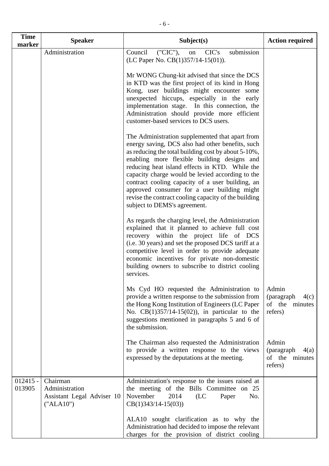| <b>Time</b><br>marker | <b>Speaker</b>                                                        | Subject(s)                                                                                                                                                                                                                                                                                                                                                                                                                                                                                                 | <b>Action required</b>                                       |
|-----------------------|-----------------------------------------------------------------------|------------------------------------------------------------------------------------------------------------------------------------------------------------------------------------------------------------------------------------------------------------------------------------------------------------------------------------------------------------------------------------------------------------------------------------------------------------------------------------------------------------|--------------------------------------------------------------|
|                       | Administration                                                        | Council<br>("CIC"),<br>CIC's<br>submission<br>on<br>(LC Paper No. $CB(1)357/14-15(01)$ ).                                                                                                                                                                                                                                                                                                                                                                                                                  |                                                              |
|                       |                                                                       | Mr WONG Chung-kit advised that since the DCS<br>in KTD was the first project of its kind in Hong<br>Kong, user buildings might encounter some<br>unexpected hiccups, especially in the early<br>implementation stage. In this connection, the<br>Administration should provide more efficient<br>customer-based services to DCS users.                                                                                                                                                                     |                                                              |
|                       |                                                                       | The Administration supplemented that apart from<br>energy saving, DCS also had other benefits, such<br>as reducing the total building cost by about 5-10%,<br>enabling more flexible building designs and<br>reducing heat island effects in KTD. While the<br>capacity charge would be levied according to the<br>contract cooling capacity of a user building, an<br>approved consumer for a user building might<br>revise the contract cooling capacity of the building<br>subject to DEMS's agreement. |                                                              |
|                       |                                                                       | As regards the charging level, the Administration<br>explained that it planned to achieve full cost<br>recovery within the project life of DCS<br>(i.e. 30 years) and set the proposed DCS tariff at a<br>competitive level in order to provide adequate<br>economic incentives for private non-domestic<br>building owners to subscribe to district cooling<br>services.                                                                                                                                  |                                                              |
|                       |                                                                       | Ms Cyd HO requested the Administration to<br>provide a written response to the submission from<br>the Hong Kong Institution of Engineers (LC Paper<br>No. $CB(1)357/14-15(02)$ , in particular to the<br>suggestions mentioned in paragraphs 5 and 6 of<br>the submission.                                                                                                                                                                                                                                 | Admin<br>(paragraph<br>4(c)<br>of the<br>minutes<br>refers)  |
|                       |                                                                       | The Chairman also requested the Administration<br>to provide a written response to the views<br>expressed by the deputations at the meeting.                                                                                                                                                                                                                                                                                                                                                               | Admin<br>(paragraph)<br>4(a)<br>of the<br>minutes<br>refers) |
| $012415 -$<br>013905  | Chairman<br>Administration<br>Assistant Legal Adviser 10<br>("ALA10") | Administration's response to the issues raised at<br>the meeting of the Bills Committee on 25<br>November<br>2014<br>(LC)<br>No.<br>Paper<br>$CB(1)343/14-15(03))$                                                                                                                                                                                                                                                                                                                                         |                                                              |
|                       |                                                                       | ALA10 sought clarification as to why the<br>Administration had decided to impose the relevant<br>charges for the provision of district cooling                                                                                                                                                                                                                                                                                                                                                             |                                                              |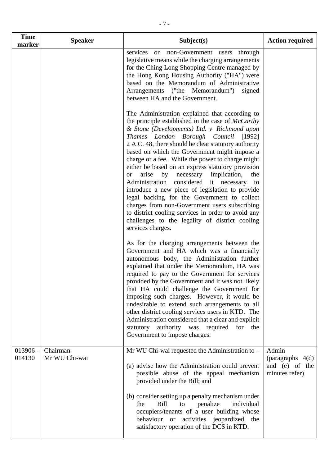| <b>Time</b><br>marker | <b>Speaker</b>            | Subject(s)                                                                                                                                                                                                                                                                                                                                                                                                                                                                                                                                                                                                                                                                                                                                                                                            | <b>Action required</b>                                          |
|-----------------------|---------------------------|-------------------------------------------------------------------------------------------------------------------------------------------------------------------------------------------------------------------------------------------------------------------------------------------------------------------------------------------------------------------------------------------------------------------------------------------------------------------------------------------------------------------------------------------------------------------------------------------------------------------------------------------------------------------------------------------------------------------------------------------------------------------------------------------------------|-----------------------------------------------------------------|
|                       |                           | services on non-Government users through<br>legislative means while the charging arrangements<br>for the Ching Long Shopping Centre managed by<br>the Hong Kong Housing Authority ("HA") were<br>based on the Memorandum of Administrative<br>Arrangements ("the Memorandum") signed<br>between HA and the Government.                                                                                                                                                                                                                                                                                                                                                                                                                                                                                |                                                                 |
|                       |                           | The Administration explained that according to<br>the principle established in the case of McCarthy<br>& Stone (Developments) Ltd. v Richmond upon<br>Thames London Borough Council [1992]<br>2 A.C. 48, there should be clear statutory authority<br>based on which the Government might impose a<br>charge or a fee. While the power to charge might<br>either be based on an express statutory provision<br>arise<br>by necessary implication,<br>the<br><b>or</b><br>Administration considered it necessary<br>to<br>introduce a new piece of legislation to provide<br>legal backing for the Government to collect<br>charges from non-Government users subscribing<br>to district cooling services in order to avoid any<br>challenges to the legality of district cooling<br>services charges. |                                                                 |
|                       |                           | As for the charging arrangements between the<br>Government and HA which was a financially<br>autonomous body, the Administration further<br>explained that under the Memorandum, HA was<br>required to pay to the Government for services<br>provided by the Government and it was not likely<br>that HA could challenge the Government for<br>imposing such charges. However, it would be<br>undesirable to extend such arrangements to all<br>other district cooling services users in KTD. The<br>Administration considered that a clear and explicit<br>statutory authority was required for the<br>Government to impose charges.                                                                                                                                                                 |                                                                 |
| $013906 -$<br>014130  | Chairman<br>Mr WU Chi-wai | Mr WU Chi-wai requested the Administration to -<br>(a) advise how the Administration could prevent<br>possible abuse of the appeal mechanism<br>provided under the Bill; and<br>(b) consider setting up a penalty mechanism under                                                                                                                                                                                                                                                                                                                                                                                                                                                                                                                                                                     | Admin<br>(paragraphs $4(d)$<br>and (e) of the<br>minutes refer) |
|                       |                           | individual<br>Bill<br>penalize<br>the<br>to<br>occupiers/tenants of a user building whose<br>behaviour or activities jeopardized the<br>satisfactory operation of the DCS in KTD.                                                                                                                                                                                                                                                                                                                                                                                                                                                                                                                                                                                                                     |                                                                 |